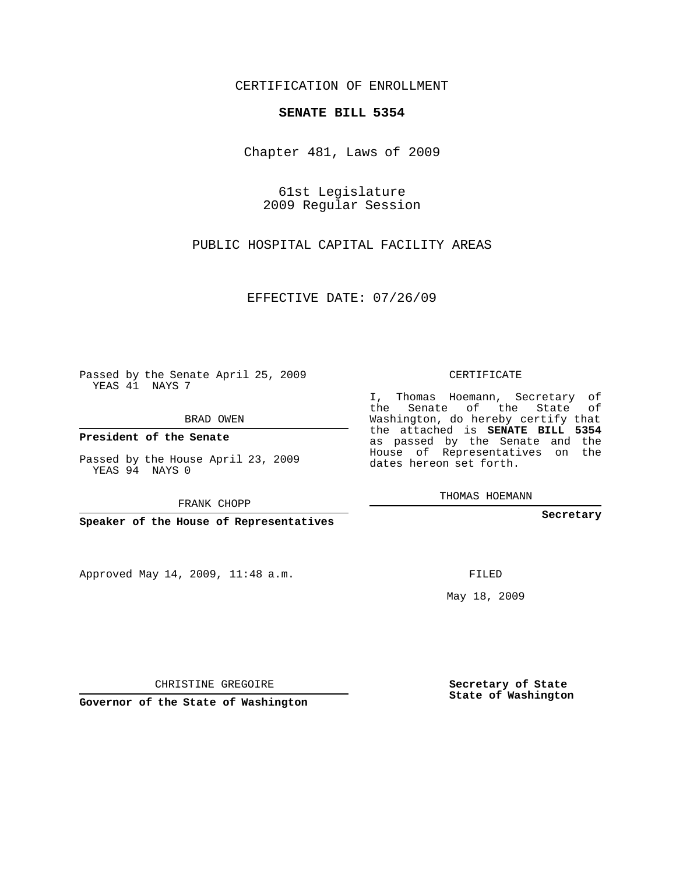### CERTIFICATION OF ENROLLMENT

### **SENATE BILL 5354**

Chapter 481, Laws of 2009

61st Legislature 2009 Regular Session

PUBLIC HOSPITAL CAPITAL FACILITY AREAS

EFFECTIVE DATE: 07/26/09

Passed by the Senate April 25, 2009 YEAS 41 NAYS 7

BRAD OWEN

**President of the Senate**

Passed by the House April 23, 2009 YEAS 94 NAYS 0

FRANK CHOPP

**Speaker of the House of Representatives**

Approved May 14, 2009, 11:48 a.m.

CERTIFICATE

I, Thomas Hoemann, Secretary of the Senate of the State of Washington, do hereby certify that the attached is **SENATE BILL 5354** as passed by the Senate and the House of Representatives on the dates hereon set forth.

THOMAS HOEMANN

**Secretary**

FILED

May 18, 2009

**Governor of the State of Washington**

CHRISTINE GREGOIRE

**Secretary of State**

**State of Washington**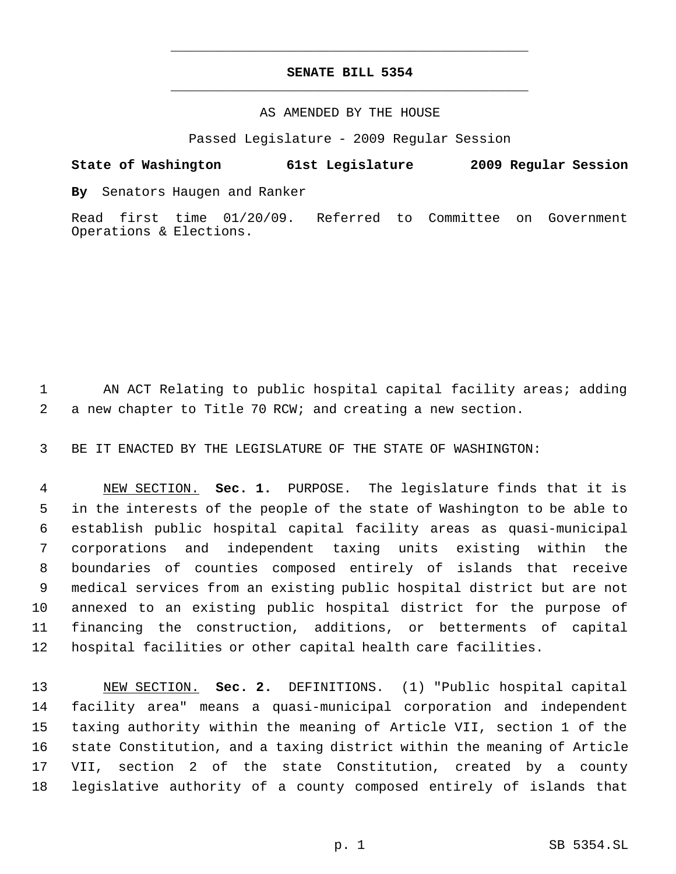# **SENATE BILL 5354** \_\_\_\_\_\_\_\_\_\_\_\_\_\_\_\_\_\_\_\_\_\_\_\_\_\_\_\_\_\_\_\_\_\_\_\_\_\_\_\_\_\_\_\_\_

\_\_\_\_\_\_\_\_\_\_\_\_\_\_\_\_\_\_\_\_\_\_\_\_\_\_\_\_\_\_\_\_\_\_\_\_\_\_\_\_\_\_\_\_\_

### AS AMENDED BY THE HOUSE

Passed Legislature - 2009 Regular Session

## **State of Washington 61st Legislature 2009 Regular Session**

**By** Senators Haugen and Ranker

Read first time 01/20/09. Referred to Committee on Government Operations & Elections.

 AN ACT Relating to public hospital capital facility areas; adding a new chapter to Title 70 RCW; and creating a new section.

BE IT ENACTED BY THE LEGISLATURE OF THE STATE OF WASHINGTON:

 NEW SECTION. **Sec. 1.** PURPOSE. The legislature finds that it is in the interests of the people of the state of Washington to be able to establish public hospital capital facility areas as quasi-municipal corporations and independent taxing units existing within the boundaries of counties composed entirely of islands that receive medical services from an existing public hospital district but are not annexed to an existing public hospital district for the purpose of financing the construction, additions, or betterments of capital hospital facilities or other capital health care facilities.

 NEW SECTION. **Sec. 2.** DEFINITIONS. (1) "Public hospital capital facility area" means a quasi-municipal corporation and independent taxing authority within the meaning of Article VII, section 1 of the state Constitution, and a taxing district within the meaning of Article VII, section 2 of the state Constitution, created by a county legislative authority of a county composed entirely of islands that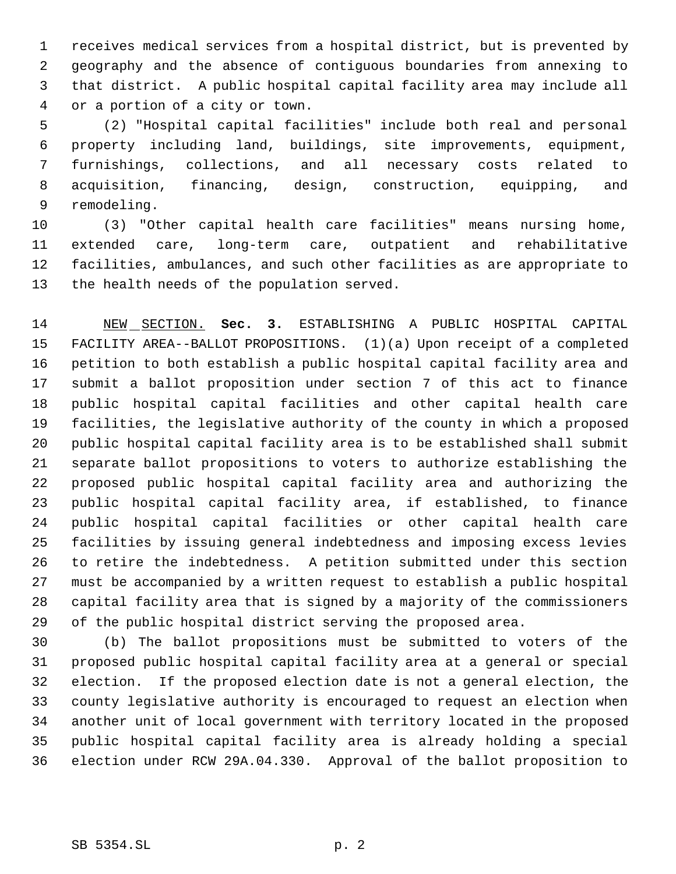receives medical services from a hospital district, but is prevented by geography and the absence of contiguous boundaries from annexing to that district. A public hospital capital facility area may include all or a portion of a city or town.

 (2) "Hospital capital facilities" include both real and personal property including land, buildings, site improvements, equipment, furnishings, collections, and all necessary costs related to acquisition, financing, design, construction, equipping, and remodeling.

 (3) "Other capital health care facilities" means nursing home, extended care, long-term care, outpatient and rehabilitative facilities, ambulances, and such other facilities as are appropriate to the health needs of the population served.

 NEW SECTION. **Sec. 3.** ESTABLISHING A PUBLIC HOSPITAL CAPITAL FACILITY AREA--BALLOT PROPOSITIONS. (1)(a) Upon receipt of a completed petition to both establish a public hospital capital facility area and submit a ballot proposition under section 7 of this act to finance public hospital capital facilities and other capital health care facilities, the legislative authority of the county in which a proposed public hospital capital facility area is to be established shall submit separate ballot propositions to voters to authorize establishing the proposed public hospital capital facility area and authorizing the public hospital capital facility area, if established, to finance public hospital capital facilities or other capital health care facilities by issuing general indebtedness and imposing excess levies to retire the indebtedness. A petition submitted under this section must be accompanied by a written request to establish a public hospital capital facility area that is signed by a majority of the commissioners of the public hospital district serving the proposed area.

 (b) The ballot propositions must be submitted to voters of the proposed public hospital capital facility area at a general or special election. If the proposed election date is not a general election, the county legislative authority is encouraged to request an election when another unit of local government with territory located in the proposed public hospital capital facility area is already holding a special election under RCW 29A.04.330. Approval of the ballot proposition to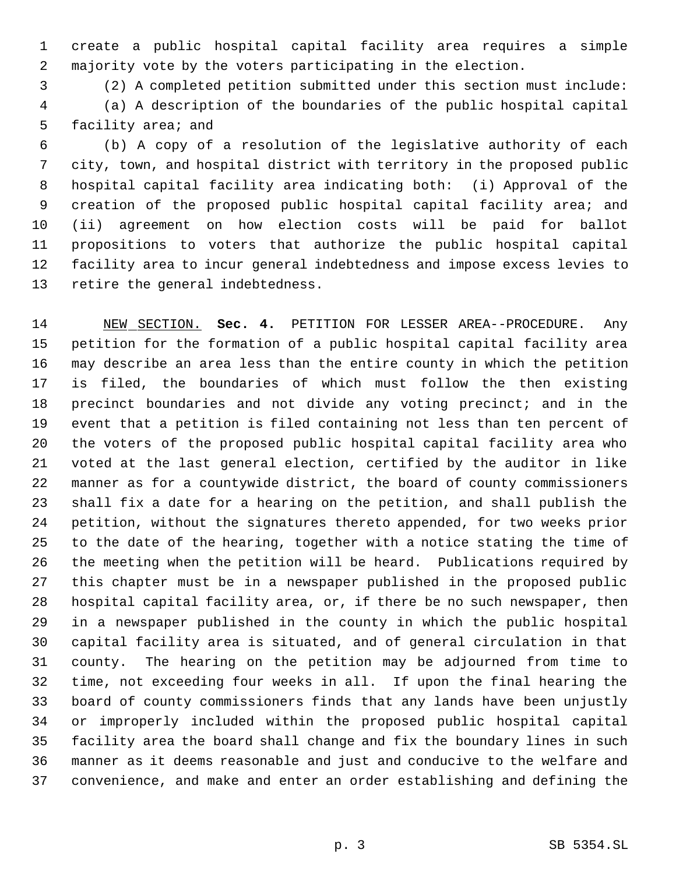create a public hospital capital facility area requires a simple majority vote by the voters participating in the election.

(2) A completed petition submitted under this section must include:

 (a) A description of the boundaries of the public hospital capital facility area; and

 (b) A copy of a resolution of the legislative authority of each city, town, and hospital district with territory in the proposed public hospital capital facility area indicating both: (i) Approval of the creation of the proposed public hospital capital facility area; and (ii) agreement on how election costs will be paid for ballot propositions to voters that authorize the public hospital capital facility area to incur general indebtedness and impose excess levies to retire the general indebtedness.

 NEW SECTION. **Sec. 4.** PETITION FOR LESSER AREA--PROCEDURE. Any petition for the formation of a public hospital capital facility area may describe an area less than the entire county in which the petition is filed, the boundaries of which must follow the then existing precinct boundaries and not divide any voting precinct; and in the event that a petition is filed containing not less than ten percent of the voters of the proposed public hospital capital facility area who voted at the last general election, certified by the auditor in like manner as for a countywide district, the board of county commissioners shall fix a date for a hearing on the petition, and shall publish the petition, without the signatures thereto appended, for two weeks prior to the date of the hearing, together with a notice stating the time of the meeting when the petition will be heard. Publications required by this chapter must be in a newspaper published in the proposed public hospital capital facility area, or, if there be no such newspaper, then in a newspaper published in the county in which the public hospital capital facility area is situated, and of general circulation in that county. The hearing on the petition may be adjourned from time to time, not exceeding four weeks in all. If upon the final hearing the board of county commissioners finds that any lands have been unjustly or improperly included within the proposed public hospital capital facility area the board shall change and fix the boundary lines in such manner as it deems reasonable and just and conducive to the welfare and convenience, and make and enter an order establishing and defining the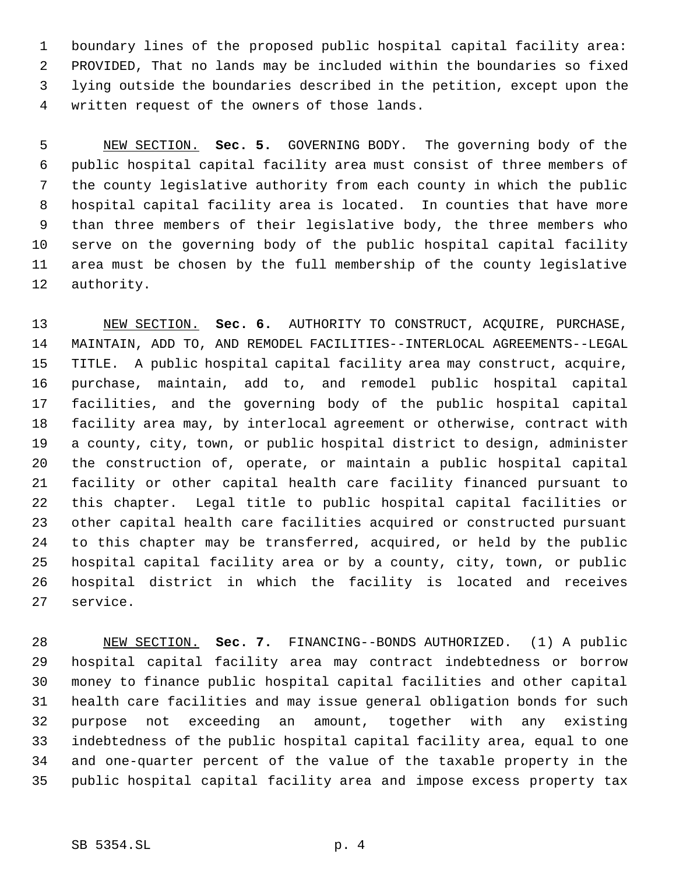boundary lines of the proposed public hospital capital facility area: PROVIDED, That no lands may be included within the boundaries so fixed lying outside the boundaries described in the petition, except upon the written request of the owners of those lands.

 NEW SECTION. **Sec. 5.** GOVERNING BODY. The governing body of the public hospital capital facility area must consist of three members of the county legislative authority from each county in which the public hospital capital facility area is located. In counties that have more than three members of their legislative body, the three members who serve on the governing body of the public hospital capital facility area must be chosen by the full membership of the county legislative authority.

 NEW SECTION. **Sec. 6.** AUTHORITY TO CONSTRUCT, ACQUIRE, PURCHASE, MAINTAIN, ADD TO, AND REMODEL FACILITIES--INTERLOCAL AGREEMENTS--LEGAL TITLE. A public hospital capital facility area may construct, acquire, purchase, maintain, add to, and remodel public hospital capital facilities, and the governing body of the public hospital capital facility area may, by interlocal agreement or otherwise, contract with a county, city, town, or public hospital district to design, administer the construction of, operate, or maintain a public hospital capital facility or other capital health care facility financed pursuant to this chapter. Legal title to public hospital capital facilities or other capital health care facilities acquired or constructed pursuant to this chapter may be transferred, acquired, or held by the public hospital capital facility area or by a county, city, town, or public hospital district in which the facility is located and receives service.

 NEW SECTION. **Sec. 7.** FINANCING--BONDS AUTHORIZED. (1) A public hospital capital facility area may contract indebtedness or borrow money to finance public hospital capital facilities and other capital health care facilities and may issue general obligation bonds for such purpose not exceeding an amount, together with any existing indebtedness of the public hospital capital facility area, equal to one and one-quarter percent of the value of the taxable property in the public hospital capital facility area and impose excess property tax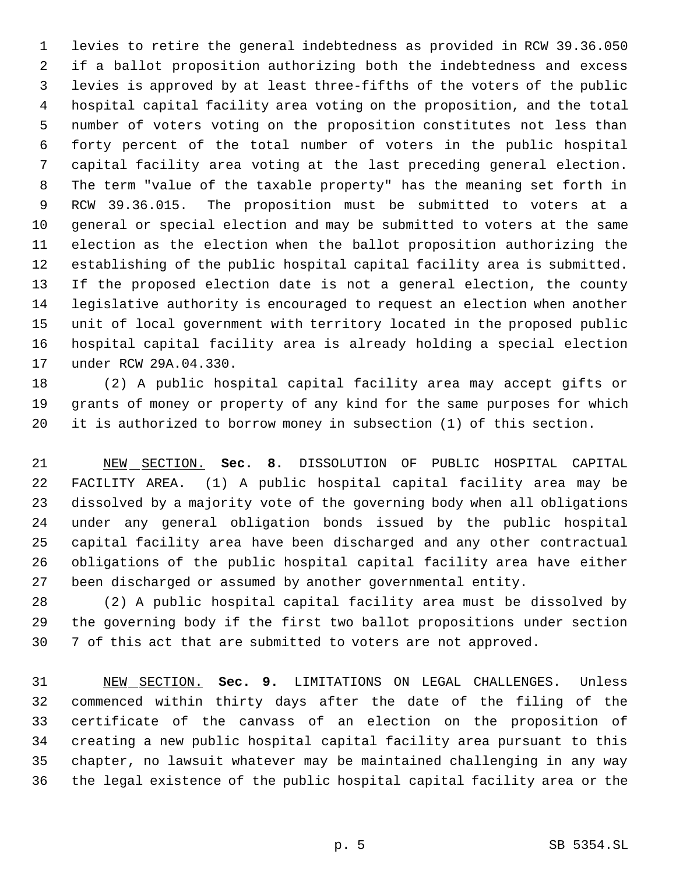levies to retire the general indebtedness as provided in RCW 39.36.050 if a ballot proposition authorizing both the indebtedness and excess levies is approved by at least three-fifths of the voters of the public hospital capital facility area voting on the proposition, and the total number of voters voting on the proposition constitutes not less than forty percent of the total number of voters in the public hospital capital facility area voting at the last preceding general election. The term "value of the taxable property" has the meaning set forth in RCW 39.36.015. The proposition must be submitted to voters at a general or special election and may be submitted to voters at the same election as the election when the ballot proposition authorizing the establishing of the public hospital capital facility area is submitted. If the proposed election date is not a general election, the county legislative authority is encouraged to request an election when another unit of local government with territory located in the proposed public hospital capital facility area is already holding a special election under RCW 29A.04.330.

 (2) A public hospital capital facility area may accept gifts or grants of money or property of any kind for the same purposes for which it is authorized to borrow money in subsection (1) of this section.

 NEW SECTION. **Sec. 8.** DISSOLUTION OF PUBLIC HOSPITAL CAPITAL FACILITY AREA. (1) A public hospital capital facility area may be dissolved by a majority vote of the governing body when all obligations under any general obligation bonds issued by the public hospital capital facility area have been discharged and any other contractual obligations of the public hospital capital facility area have either been discharged or assumed by another governmental entity.

 (2) A public hospital capital facility area must be dissolved by the governing body if the first two ballot propositions under section 7 of this act that are submitted to voters are not approved.

 NEW SECTION. **Sec. 9.** LIMITATIONS ON LEGAL CHALLENGES. Unless commenced within thirty days after the date of the filing of the certificate of the canvass of an election on the proposition of creating a new public hospital capital facility area pursuant to this chapter, no lawsuit whatever may be maintained challenging in any way the legal existence of the public hospital capital facility area or the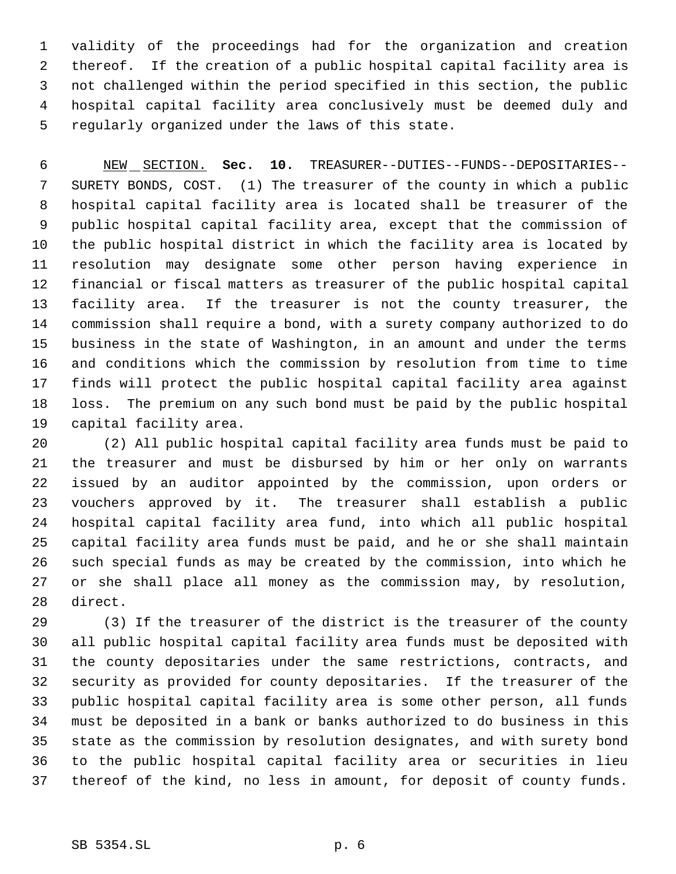validity of the proceedings had for the organization and creation thereof. If the creation of a public hospital capital facility area is not challenged within the period specified in this section, the public hospital capital facility area conclusively must be deemed duly and regularly organized under the laws of this state.

 NEW SECTION. **Sec. 10.** TREASURER--DUTIES--FUNDS--DEPOSITARIES-- SURETY BONDS, COST. (1) The treasurer of the county in which a public hospital capital facility area is located shall be treasurer of the public hospital capital facility area, except that the commission of the public hospital district in which the facility area is located by resolution may designate some other person having experience in financial or fiscal matters as treasurer of the public hospital capital facility area. If the treasurer is not the county treasurer, the commission shall require a bond, with a surety company authorized to do business in the state of Washington, in an amount and under the terms and conditions which the commission by resolution from time to time finds will protect the public hospital capital facility area against loss. The premium on any such bond must be paid by the public hospital capital facility area.

 (2) All public hospital capital facility area funds must be paid to the treasurer and must be disbursed by him or her only on warrants issued by an auditor appointed by the commission, upon orders or vouchers approved by it. The treasurer shall establish a public hospital capital facility area fund, into which all public hospital capital facility area funds must be paid, and he or she shall maintain such special funds as may be created by the commission, into which he or she shall place all money as the commission may, by resolution, direct.

 (3) If the treasurer of the district is the treasurer of the county all public hospital capital facility area funds must be deposited with the county depositaries under the same restrictions, contracts, and security as provided for county depositaries. If the treasurer of the public hospital capital facility area is some other person, all funds must be deposited in a bank or banks authorized to do business in this state as the commission by resolution designates, and with surety bond to the public hospital capital facility area or securities in lieu thereof of the kind, no less in amount, for deposit of county funds.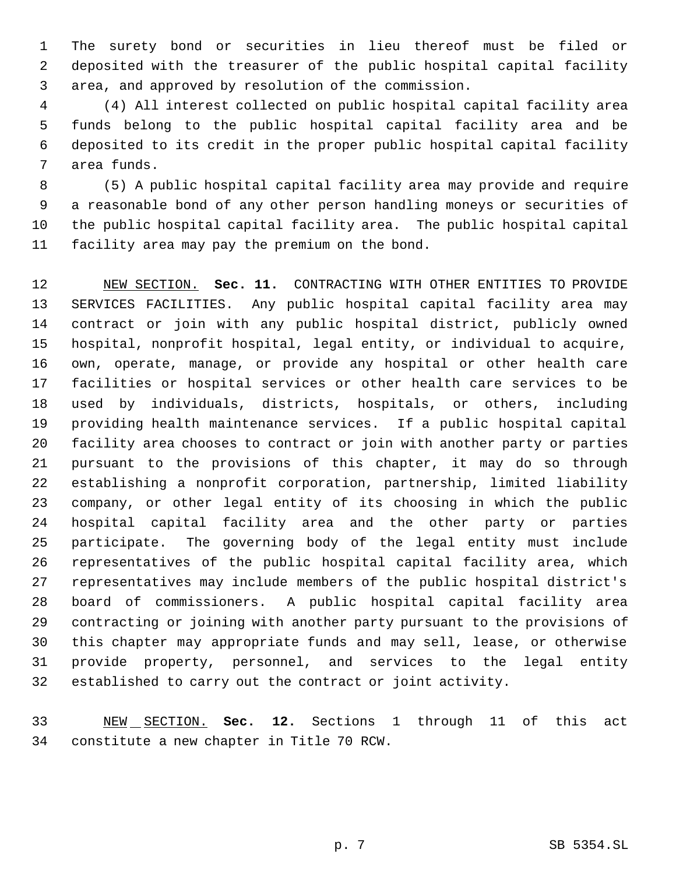The surety bond or securities in lieu thereof must be filed or deposited with the treasurer of the public hospital capital facility area, and approved by resolution of the commission.

 (4) All interest collected on public hospital capital facility area funds belong to the public hospital capital facility area and be deposited to its credit in the proper public hospital capital facility area funds.

 (5) A public hospital capital facility area may provide and require a reasonable bond of any other person handling moneys or securities of the public hospital capital facility area. The public hospital capital facility area may pay the premium on the bond.

 NEW SECTION. **Sec. 11.** CONTRACTING WITH OTHER ENTITIES TO PROVIDE SERVICES FACILITIES. Any public hospital capital facility area may contract or join with any public hospital district, publicly owned hospital, nonprofit hospital, legal entity, or individual to acquire, own, operate, manage, or provide any hospital or other health care facilities or hospital services or other health care services to be used by individuals, districts, hospitals, or others, including providing health maintenance services. If a public hospital capital facility area chooses to contract or join with another party or parties pursuant to the provisions of this chapter, it may do so through establishing a nonprofit corporation, partnership, limited liability company, or other legal entity of its choosing in which the public hospital capital facility area and the other party or parties participate. The governing body of the legal entity must include representatives of the public hospital capital facility area, which representatives may include members of the public hospital district's board of commissioners. A public hospital capital facility area contracting or joining with another party pursuant to the provisions of this chapter may appropriate funds and may sell, lease, or otherwise provide property, personnel, and services to the legal entity established to carry out the contract or joint activity.

 NEW SECTION. **Sec. 12.** Sections 1 through 11 of this act constitute a new chapter in Title 70 RCW.